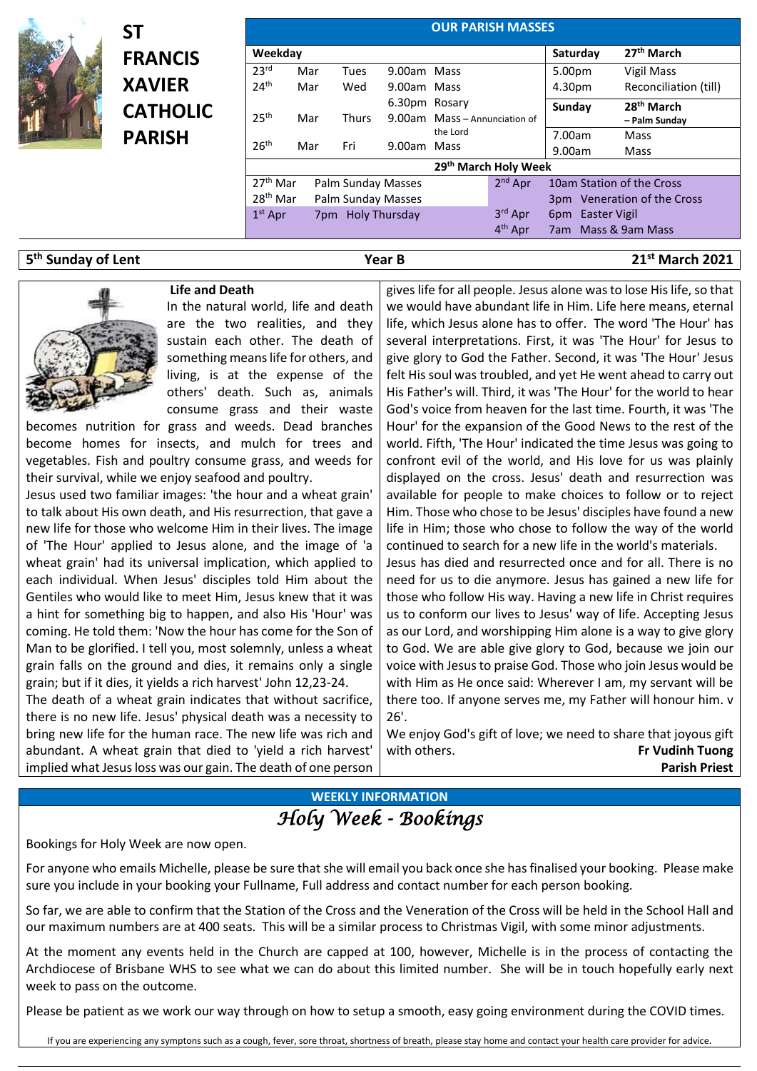

**ST FRANCIS XAVIER CATHOLIC PARISH**

|                                              |     |                                          |               |                               | <b>OUR PARISH MASSES</b>       |                         |                                                          |
|----------------------------------------------|-----|------------------------------------------|---------------|-------------------------------|--------------------------------|-------------------------|----------------------------------------------------------|
| Weekday                                      |     |                                          |               |                               |                                | Saturday                | 27 <sup>th</sup> March                                   |
| 23 <sup>rd</sup>                             | Mar | <b>Tues</b>                              | 9.00am Mass   |                               |                                | 5.00pm                  | Vigil Mass                                               |
| 24 <sup>th</sup>                             | Mar | Wed                                      | 9.00am Mass   |                               |                                | 4.30pm                  | Reconciliation (till)                                    |
| 25 <sup>th</sup>                             | Mar | <b>Thurs</b>                             | 6.30pm Rosary | 9.00am Mass - Annunciation of |                                | Sunday                  | 28 <sup>th</sup> March<br>- Palm Sunday                  |
| 26 <sup>th</sup>                             | Mar | Fri                                      | 9.00am Mass   | the Lord                      |                                | 7.00am<br>9.00am        | Mass<br>Mass                                             |
|                                              |     |                                          |               |                               | 29th March Holy Week           |                         |                                                          |
| 27 <sup>th</sup> Mar<br>28 <sup>th</sup> Mar |     | Palm Sunday Masses<br>Palm Sunday Masses |               |                               | $2nd$ Apr                      |                         | 10am Station of the Cross<br>3pm Veneration of the Cross |
| $1st$ Apr                                    |     | 7pm Holy Thursday                        |               |                               | 3rd Apr<br>4 <sup>th</sup> Apr | 6pm Easter Vigil<br>7am | Mass & 9am Mass                                          |

### **5 th Sunday of Lent Year B 21st March 2021**



## **Life and Death**

In the natural world, life and death are the two realities, and they sustain each other. The death of something means life for others, and living, is at the expense of the others' death. Such as, animals consume grass and their waste

becomes nutrition for grass and weeds. Dead branches become homes for insects, and mulch for trees and vegetables. Fish and poultry consume grass, and weeds for their survival, while we enjoy seafood and poultry.

Jesus used two familiar images: 'the hour and a wheat grain' to talk about His own death, and His resurrection, that gave a new life for those who welcome Him in their lives. The image of 'The Hour' applied to Jesus alone, and the image of 'a wheat grain' had its universal implication, which applied to each individual. When Jesus' disciples told Him about the Gentiles who would like to meet Him, Jesus knew that it was a hint for something big to happen, and also His 'Hour' was coming. He told them: 'Now the hour has come for the Son of Man to be glorified. I tell you, most solemnly, unless a wheat grain falls on the ground and dies, it remains only a single grain; but if it dies, it yields a rich harvest' John 12,23-24.

The death of a wheat grain indicates that without sacrifice, there is no new life. Jesus' physical death was a necessity to bring new life for the human race. The new life was rich and abundant. A wheat grain that died to 'yield a rich harvest' implied what Jesus loss was our gain. The death of one person gives life for all people. Jesus alone wasto lose His life, so that we would have abundant life in Him. Life here means, eternal life, which Jesus alone has to offer. The word 'The Hour' has several interpretations. First, it was 'The Hour' for Jesus to give glory to God the Father. Second, it was 'The Hour' Jesus felt His soul was troubled, and yet He went ahead to carry out His Father's will. Third, it was 'The Hour' for the world to hear God's voice from heaven for the last time. Fourth, it was 'The Hour' for the expansion of the Good News to the rest of the world. Fifth, 'The Hour' indicated the time Jesus was going to confront evil of the world, and His love for us was plainly displayed on the cross. Jesus' death and resurrection was available for people to make choices to follow or to reject Him. Those who chose to be Jesus' disciples have found a new life in Him; those who chose to follow the way of the world continued to search for a new life in the world's materials.

Jesus has died and resurrected once and for all. There is no need for us to die anymore. Jesus has gained a new life for those who follow His way. Having a new life in Christ requires us to conform our lives to Jesus' way of life. Accepting Jesus as our Lord, and worshipping Him alone is a way to give glory to God. We are able give glory to God, because we join our voice with Jesus to praise God. Those who join Jesus would be with Him as He once said: Wherever I am, my servant will be there too. If anyone serves me, my Father will honour him. v 26'.

We enjoy God's gift of love; we need to share that joyous gift with others. **Fr Vudinh Tuong Parish Priest**

# **WEEKLY INFORMATION** *Holy Week - Bookings*

Bookings for Holy Week are now open.

For anyone who emails Michelle, please be sure that she will email you back once she has finalised your booking. Please make sure you include in your booking your Fullname, Full address and contact number for each person booking.

So far, we are able to confirm that the Station of the Cross and the Veneration of the Cross will be held in the School Hall and our maximum numbers are at 400 seats. This will be a similar process to Christmas Vigil, with some minor adjustments.

At the moment any events held in the Church are capped at 100, however, Michelle is in the process of contacting the Archdiocese of Brisbane WHS to see what we can do about this limited number. She will be in touch hopefully early next week to pass on the outcome.

Please be patient as we work our way through on how to setup a smooth, easy going environment during the COVID times.

If you are experiencing any symptons such as a cough, fever, sore throat, shortness of breath, please stay home and contact your health care provider for advice.